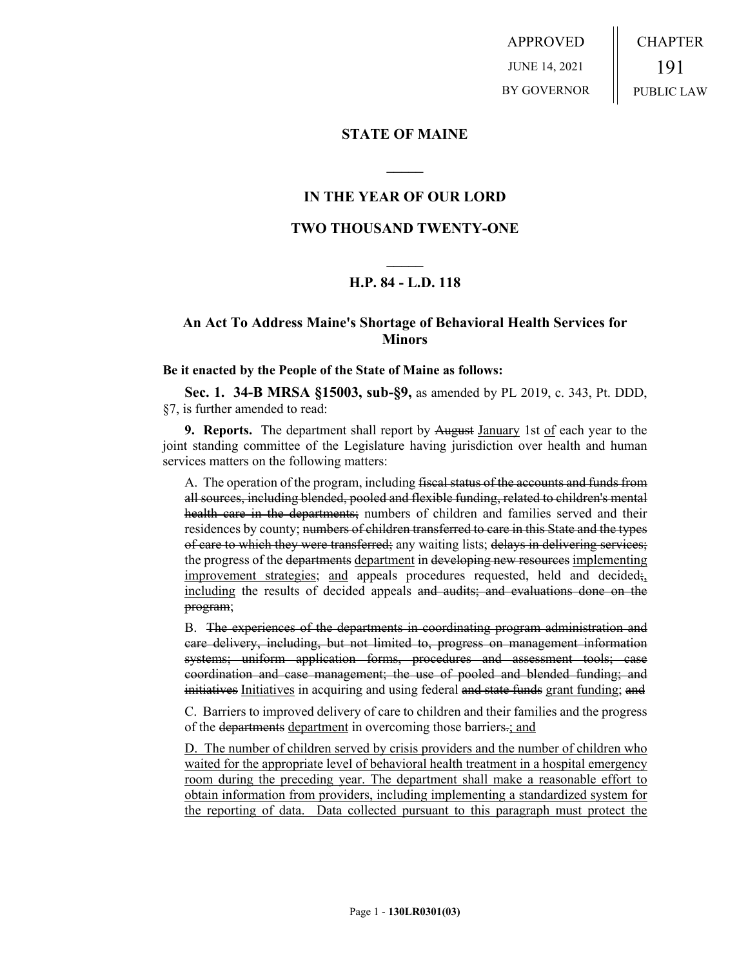APPROVED JUNE 14, 2021 BY GOVERNOR CHAPTER 191 PUBLIC LAW

### **STATE OF MAINE**

# **IN THE YEAR OF OUR LORD**

**\_\_\_\_\_**

# **TWO THOUSAND TWENTY-ONE**

# **\_\_\_\_\_ H.P. 84 - L.D. 118**

# **An Act To Address Maine's Shortage of Behavioral Health Services for Minors**

#### **Be it enacted by the People of the State of Maine as follows:**

**Sec. 1. 34-B MRSA §15003, sub-§9,** as amended by PL 2019, c. 343, Pt. DDD, §7, is further amended to read:

**9. Reports.** The department shall report by August January 1st of each year to the joint standing committee of the Legislature having jurisdiction over health and human services matters on the following matters:

A. The operation of the program, including fiscal status of the accounts and funds from all sources, including blended, pooled and flexible funding, related to children's mental health care in the departments; numbers of children and families served and their residences by county; numbers of children transferred to care in this State and the types of care to which they were transferred; any waiting lists; delays in delivering services; the progress of the departments department in developing new resources implementing improvement strategies; and appeals procedures requested, held and decided; including the results of decided appeals and audits; and evaluations done on the program;

B. The experiences of the departments in coordinating program administration and care delivery, including, but not limited to, progress on management information systems; uniform application forms, procedures and assessment tools; case coordination and case management; the use of pooled and blended funding; and initiatives Initiatives in acquiring and using federal and state funds grant funding; and

C. Barriers to improved delivery of care to children and their families and the progress of the departments department in overcoming those barriers.; and

D. The number of children served by crisis providers and the number of children who waited for the appropriate level of behavioral health treatment in a hospital emergency room during the preceding year. The department shall make a reasonable effort to obtain information from providers, including implementing a standardized system for the reporting of data. Data collected pursuant to this paragraph must protect the